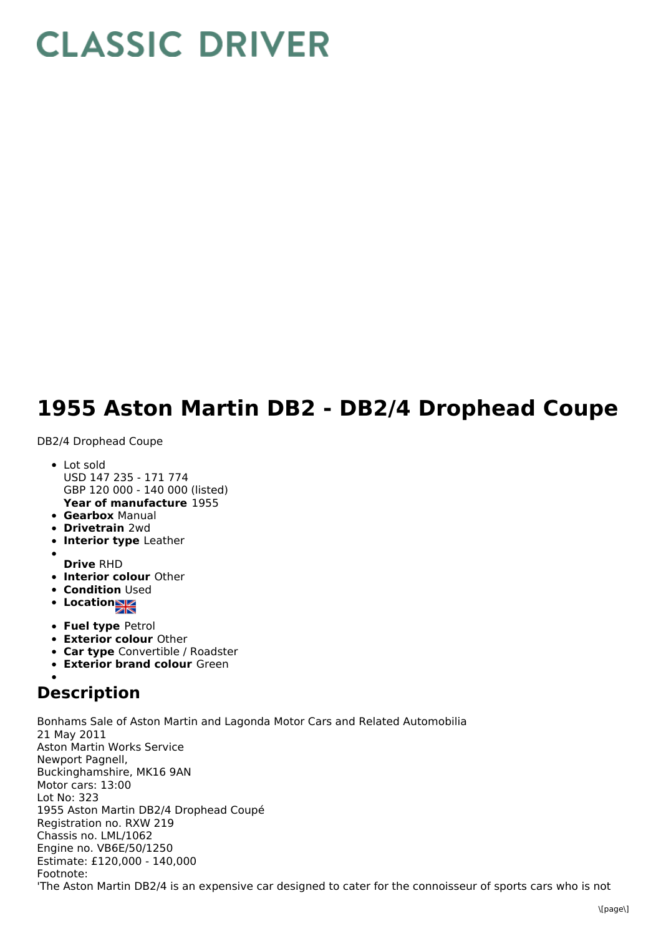## **CLASSIC DRIVER**

## **1955 Aston Martin DB2 - DB2/4 Drophead Coupe**

DB2/4 Drophead Coupe

- **Year of manufacture** 1955 • Lot sold USD 147 235 - 171 774 GBP 120 000 - 140 000 (listed)
- **Gearbox** Manual
- **Drivetrain** 2wd
- **Interior type** Leather
- 
- **Drive** RHD
- **Interior colour** Other
- **Condition Used**
- **Location**
- **Fuel type** Petrol
- **Exterior colour** Other
- **Car type** Convertible / Roadster
- **Exterior brand colour** Green

## **Description**

Bonhams Sale of Aston Martin and Lagonda Motor Cars and Related Automobilia 21 May 2011 Aston Martin Works Service Newport Pagnell, Buckinghamshire, MK16 9AN Motor cars: 13:00 Lot No: 323 1955 Aston Martin DB2/4 Drophead Coupé Registration no. RXW 219 Chassis no. LML/1062 Engine no. VB6E/50/1250 Estimate: £120,000 - 140,000 Footnote: 'The Aston Martin DB2/4 is an expensive car designed to cater for the connoisseur of sports cars who is not